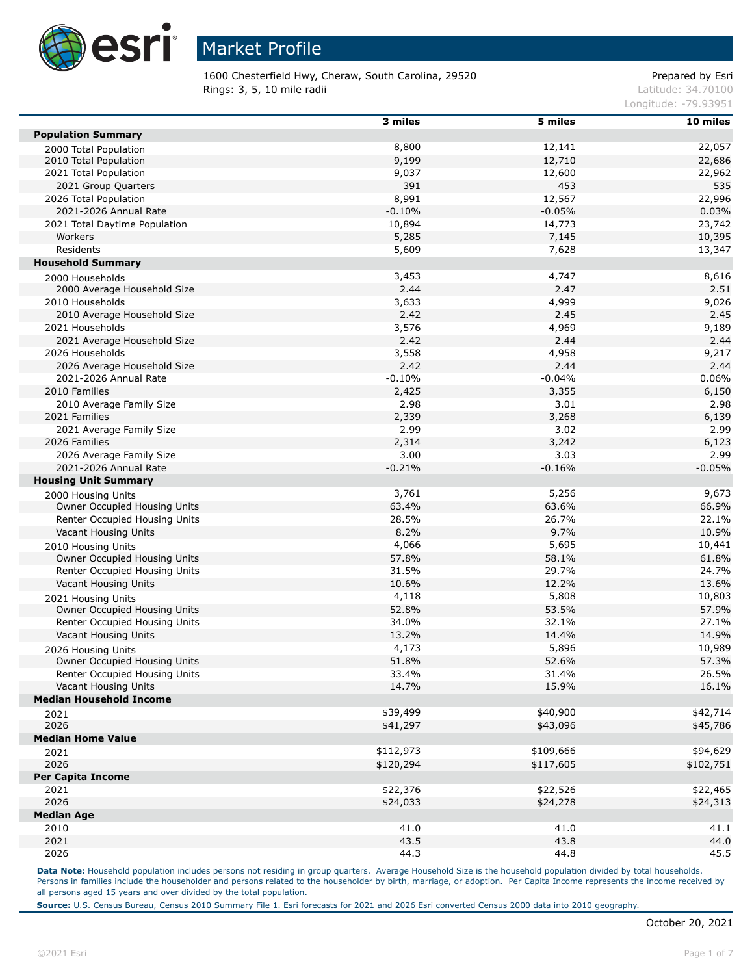

1600 Chesterfield Hwy, Cheraw, South Carolina, 29520 Prepared by Esri **Rings: 3, 5, 10 mile radii**  $\blacksquare$  **Rings: 3, 5, 10 mile radii**  $\blacksquare$ 

Longitude: -79.93951

|                                | 3 miles       | 5 miles       | 10 miles      |
|--------------------------------|---------------|---------------|---------------|
| <b>Population Summary</b>      |               |               |               |
| 2000 Total Population          | 8,800         | 12,141        | 22,057        |
| 2010 Total Population          | 9,199         | 12,710        | 22,686        |
| 2021 Total Population          | 9,037         | 12,600        | 22,962        |
| 2021 Group Quarters            | 391           | 453           | 535           |
| 2026 Total Population          | 8,991         | 12,567        | 22,996        |
| 2021-2026 Annual Rate          | $-0.10%$      | $-0.05%$      | 0.03%         |
| 2021 Total Daytime Population  | 10,894        | 14,773        | 23,742        |
| Workers                        | 5,285         | 7,145         | 10,395        |
| Residents                      | 5,609         | 7,628         | 13,347        |
| <b>Household Summary</b>       |               |               |               |
| 2000 Households                | 3,453         | 4,747         | 8,616         |
| 2000 Average Household Size    | 2.44          | 2.47          | 2.51          |
| 2010 Households                | 3,633         | 4,999         | 9,026         |
| 2010 Average Household Size    | 2.42          | 2.45          | 2.45          |
| 2021 Households                | 3,576         | 4,969         | 9,189         |
| 2021 Average Household Size    | 2.42          | 2.44          | 2.44          |
| 2026 Households                | 3,558         | 4,958         | 9,217         |
| 2026 Average Household Size    | 2.42          | 2.44          | 2.44          |
| 2021-2026 Annual Rate          | $-0.10%$      | $-0.04%$      | 0.06%         |
| 2010 Families                  | 2,425         | 3,355         | 6,150         |
| 2010 Average Family Size       | 2.98          | 3.01          | 2.98          |
| 2021 Families                  | 2,339         |               |               |
|                                | 2.99          | 3,268         | 6,139         |
| 2021 Average Family Size       |               | 3.02          | 2.99          |
| 2026 Families                  | 2,314<br>3.00 | 3,242<br>3.03 | 6,123<br>2.99 |
| 2026 Average Family Size       |               |               |               |
| 2021-2026 Annual Rate          | $-0.21%$      | $-0.16%$      | $-0.05%$      |
| <b>Housing Unit Summary</b>    |               |               |               |
| 2000 Housing Units             | 3,761         | 5,256         | 9,673         |
| Owner Occupied Housing Units   | 63.4%         | 63.6%         | 66.9%         |
| Renter Occupied Housing Units  | 28.5%         | 26.7%         | 22.1%         |
| Vacant Housing Units           | 8.2%          | 9.7%          | 10.9%         |
| 2010 Housing Units             | 4,066         | 5,695         | 10,441        |
| Owner Occupied Housing Units   | 57.8%         | 58.1%         | 61.8%         |
| Renter Occupied Housing Units  | 31.5%         | 29.7%         | 24.7%         |
| Vacant Housing Units           | 10.6%         | 12.2%         | 13.6%         |
| 2021 Housing Units             | 4,118         | 5,808         | 10,803        |
| Owner Occupied Housing Units   | 52.8%         | 53.5%         | 57.9%         |
| Renter Occupied Housing Units  | 34.0%         | 32.1%         | 27.1%         |
| Vacant Housing Units           | 13.2%         | 14.4%         | 14.9%         |
| 2026 Housing Units             | 4,173         | 5,896         | 10,989        |
| Owner Occupied Housing Units   | 51.8%         | 52.6%         | 57.3%         |
| Renter Occupied Housing Units  | 33.4%         | 31.4%         | 26.5%         |
| Vacant Housing Units           | 14.7%         | 15.9%         | 16.1%         |
| <b>Median Household Income</b> |               |               |               |
| 2021                           | \$39,499      | \$40,900      | \$42,714      |
| 2026                           | \$41,297      | \$43,096      | \$45,786      |
| <b>Median Home Value</b>       |               |               |               |
| 2021                           | \$112,973     | \$109,666     | \$94,629      |
| 2026                           | \$120,294     | \$117,605     | \$102,751     |
| <b>Per Capita Income</b>       |               |               |               |
| 2021                           | \$22,376      | \$22,526      | \$22,465      |
| 2026                           | \$24,033      | \$24,278      | \$24,313      |
| <b>Median Age</b>              |               |               |               |
| 2010                           | 41.0          | 41.0          | 41.1          |
| 2021                           | 43.5          | 43.8          | 44.0          |
| 2026                           | 44.3          | 44.8          | 45.5          |
|                                |               |               |               |

Data Note: Household population includes persons not residing in group quarters. Average Household Size is the household population divided by total households. Persons in families include the householder and persons related to the householder by birth, marriage, or adoption. Per Capita Income represents the income received by all persons aged 15 years and over divided by the total population.

**Source:** U.S. Census Bureau, Census 2010 Summary File 1. Esri forecasts for 2021 and 2026 Esri converted Census 2000 data into 2010 geography.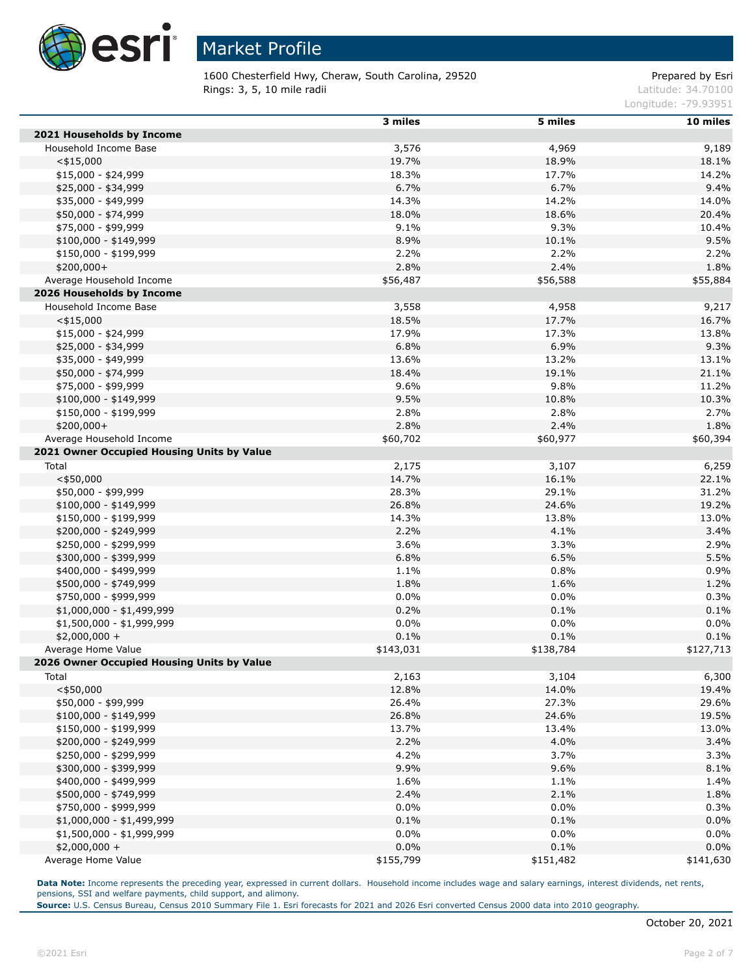

1600 Chesterfield Hwy, Cheraw, South Carolina, 29520 Prepared by Esri **Rings: 3, 5, 10 mile radii**  $\blacksquare$  **Rings: 3, 5, 10 mile radii**  $\blacksquare$ 

Longitude: -79.93951

|                                            | 3 miles      | 5 miles      | 10 miles     |
|--------------------------------------------|--------------|--------------|--------------|
| 2021 Households by Income                  |              |              |              |
| Household Income Base                      | 3,576        | 4,969        | 9,189        |
| $<$ \$15,000                               | 19.7%        | 18.9%        | 18.1%        |
| \$15,000 - \$24,999                        | 18.3%        | 17.7%        | 14.2%        |
| \$25,000 - \$34,999                        | 6.7%         | 6.7%         | 9.4%         |
| \$35,000 - \$49,999                        | 14.3%        | 14.2%        | 14.0%        |
| \$50,000 - \$74,999                        | 18.0%        | 18.6%        | 20.4%        |
| \$75,000 - \$99,999                        | 9.1%         | 9.3%         | 10.4%        |
| $$100,000 - $149,999$                      | 8.9%         | 10.1%        | 9.5%         |
| \$150,000 - \$199,999                      | 2.2%         | 2.2%         | 2.2%         |
| $$200,000+$                                | 2.8%         | 2.4%         | 1.8%         |
| Average Household Income                   | \$56,487     | \$56,588     | \$55,884     |
| 2026 Households by Income                  |              |              |              |
| Household Income Base                      | 3,558        | 4,958        | 9,217        |
| $<$ \$15,000                               | 18.5%        | 17.7%        | 16.7%        |
| $$15,000 - $24,999$                        | 17.9%        | 17.3%        | 13.8%        |
| \$25,000 - \$34,999                        | 6.8%         | 6.9%         | 9.3%         |
| \$35,000 - \$49,999                        | 13.6%        | 13.2%        | 13.1%        |
| \$50,000 - \$74,999                        | 18.4%        | 19.1%        | 21.1%        |
| \$75,000 - \$99,999                        | 9.6%         | 9.8%         | 11.2%        |
| $$100,000 - $149,999$                      | 9.5%         | 10.8%        | 10.3%        |
| \$150,000 - \$199,999                      | 2.8%         | 2.8%         | 2.7%         |
| \$200,000+                                 | 2.8%         | 2.4%         | 1.8%         |
| Average Household Income                   | \$60,702     | \$60,977     | \$60,394     |
| 2021 Owner Occupied Housing Units by Value |              |              |              |
| Total                                      | 2,175        | 3,107        | 6,259        |
| $<$ \$50,000                               | 14.7%        | 16.1%        | 22.1%        |
| \$50,000 - \$99,999                        | 28.3%        | 29.1%        | 31.2%        |
| $$100,000 - $149,999$                      | 26.8%        | 24.6%        | 19.2%        |
| \$150,000 - \$199,999                      | 14.3%        | 13.8%        | 13.0%        |
| \$200,000 - \$249,999                      | 2.2%         | 4.1%         |              |
| \$250,000 - \$299,999                      | 3.6%         | 3.3%         | 3.4%<br>2.9% |
|                                            |              |              |              |
| \$300,000 - \$399,999                      | 6.8%<br>1.1% | 6.5%<br>0.8% | 5.5%<br>0.9% |
| \$400,000 - \$499,999                      | 1.8%         | 1.6%         |              |
| \$500,000 - \$749,999                      | 0.0%         |              | 1.2%         |
| \$750,000 - \$999,999                      | 0.2%         | 0.0%<br>0.1% | 0.3%<br>0.1% |
| \$1,000,000 - \$1,499,999                  | 0.0%         | 0.0%         |              |
| \$1,500,000 - \$1,999,999                  |              |              | 0.0%         |
| $$2,000,000 +$<br>Average Home Value       | 0.1%         | 0.1%         | 0.1%         |
| 2026 Owner Occupied Housing Units by Value | \$143,031    | \$138,784    | \$127,713    |
|                                            |              |              | 6,300        |
| Total                                      | 2,163        | 3,104        |              |
| $<$ \$50,000                               | 12.8%        | 14.0%        | 19.4%        |
| \$50,000 - \$99,999                        | 26.4%        | 27.3%        | 29.6%        |
| $$100,000 - $149,999$                      | 26.8%        | 24.6%        | 19.5%        |
| \$150,000 - \$199,999                      | 13.7%        | 13.4%        | 13.0%        |
| \$200,000 - \$249,999                      | 2.2%         | 4.0%         | 3.4%         |
| \$250,000 - \$299,999                      | 4.2%         | 3.7%         | 3.3%         |
| \$300,000 - \$399,999                      | 9.9%         | 9.6%         | 8.1%         |
| \$400,000 - \$499,999                      | 1.6%         | 1.1%         | 1.4%         |
| \$500,000 - \$749,999                      | 2.4%         | 2.1%         | 1.8%         |
| \$750,000 - \$999,999                      | $0.0\%$      | $0.0\%$      | 0.3%         |
| \$1,000,000 - \$1,499,999                  | 0.1%         | 0.1%         | 0.0%         |
| \$1,500,000 - \$1,999,999                  | 0.0%         | $0.0\%$      | $0.0\%$      |
| $$2,000,000 +$                             | 0.0%         | 0.1%         | 0.0%         |
| Average Home Value                         | \$155,799    | \$151,482    | \$141,630    |

Data Note: Income represents the preceding year, expressed in current dollars. Household income includes wage and salary earnings, interest dividends, net rents, pensions, SSI and welfare payments, child support, and alimony.

**Source:** U.S. Census Bureau, Census 2010 Summary File 1. Esri forecasts for 2021 and 2026 Esri converted Census 2000 data into 2010 geography.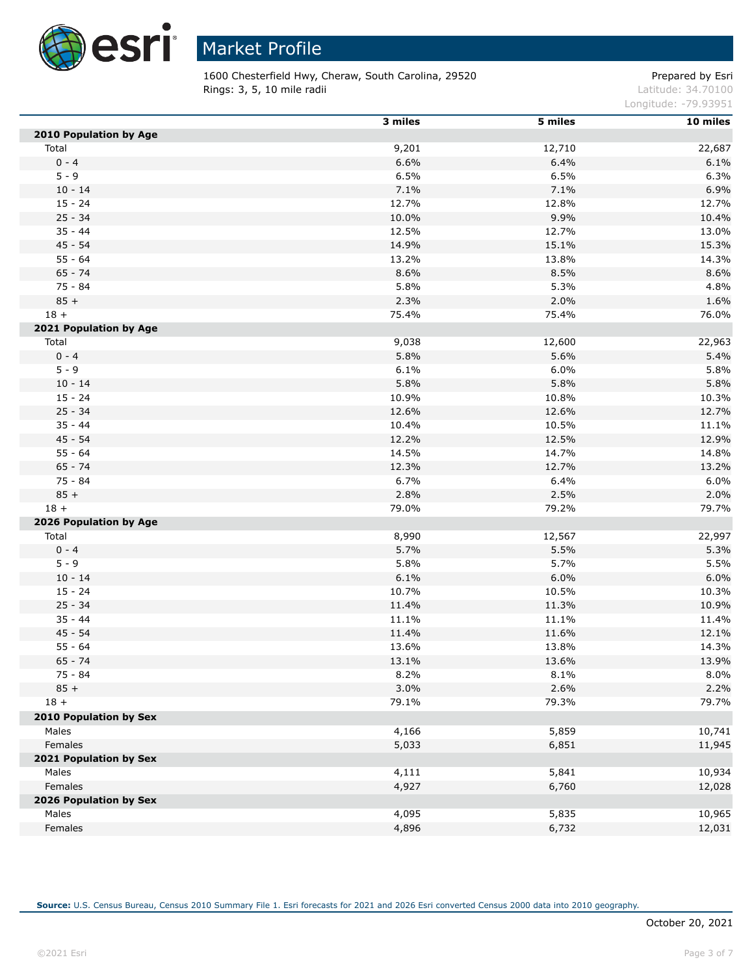

1600 Chesterfield Hwy, Cheraw, South Carolina, 29520 Prepared by Esri **Rings: 3, 5, 10 mile radii**  $\blacksquare$  **Rings: 3, 5, 10 mile radii**  $\blacksquare$ 

Longitude: -79.93951

|                        | 3 miles | 5 miles | 10 miles |
|------------------------|---------|---------|----------|
| 2010 Population by Age |         |         |          |
| Total                  | 9,201   | 12,710  | 22,687   |
| $0 - 4$                | 6.6%    | 6.4%    | 6.1%     |
| $5 - 9$                | 6.5%    | 6.5%    | 6.3%     |
| $10 - 14$              | 7.1%    | 7.1%    | 6.9%     |
| $15 - 24$              | 12.7%   | 12.8%   | 12.7%    |
| $25 - 34$              | 10.0%   | 9.9%    | 10.4%    |
| $35 - 44$              | 12.5%   | 12.7%   | 13.0%    |
| $45 - 54$              | 14.9%   | 15.1%   | 15.3%    |
| $55 - 64$              | 13.2%   | 13.8%   | 14.3%    |
| $65 - 74$              | 8.6%    | 8.5%    | 8.6%     |
| 75 - 84                | 5.8%    | 5.3%    | 4.8%     |
| $85 +$                 | 2.3%    | 2.0%    | 1.6%     |
| $18 +$                 | 75.4%   | 75.4%   | 76.0%    |
| 2021 Population by Age |         |         |          |
| Total                  | 9,038   | 12,600  | 22,963   |
| $0 - 4$                | 5.8%    | 5.6%    | 5.4%     |
| $5 - 9$                | 6.1%    | 6.0%    | 5.8%     |
| $10 - 14$              | 5.8%    | 5.8%    | 5.8%     |
| $15 - 24$              | 10.9%   | 10.8%   | 10.3%    |
| $25 - 34$              | 12.6%   | 12.6%   | 12.7%    |
| $35 - 44$              | 10.4%   | 10.5%   | 11.1%    |
| $45 - 54$              | 12.2%   | 12.5%   | 12.9%    |
| $55 - 64$              | 14.5%   | 14.7%   | 14.8%    |
| $65 - 74$              | 12.3%   | 12.7%   | 13.2%    |
| 75 - 84                | 6.7%    | 6.4%    | 6.0%     |
| $85 +$                 | 2.8%    | 2.5%    | 2.0%     |
| $18 +$                 | 79.0%   | 79.2%   | 79.7%    |
| 2026 Population by Age |         |         |          |
| Total                  | 8,990   | 12,567  | 22,997   |
| $0 - 4$                | 5.7%    | 5.5%    | 5.3%     |
| $5 - 9$                | 5.8%    | 5.7%    | 5.5%     |
| $10 - 14$              | 6.1%    | 6.0%    | 6.0%     |
| $15 - 24$              | 10.7%   | 10.5%   | 10.3%    |
| $25 - 34$              | 11.4%   | 11.3%   | 10.9%    |
| $35 - 44$              | 11.1%   | 11.1%   | 11.4%    |
| $45 - 54$              | 11.4%   | 11.6%   | 12.1%    |
| $55 - 64$              | 13.6%   | 13.8%   | 14.3%    |
| $65 - 74$              | 13.1%   | 13.6%   | 13.9%    |
| 75 - 84                | 8.2%    | 8.1%    | 8.0%     |
| $85 +$                 | 3.0%    | 2.6%    | 2.2%     |
| $18 +$                 | 79.1%   | 79.3%   | 79.7%    |
| 2010 Population by Sex |         |         |          |
| Males                  | 4,166   | 5,859   | 10,741   |
| Females                | 5,033   | 6,851   | 11,945   |
| 2021 Population by Sex |         |         |          |
| Males                  | 4,111   | 5,841   | 10,934   |
| Females                | 4,927   | 6,760   | 12,028   |
| 2026 Population by Sex |         |         |          |
| Males                  | 4,095   | 5,835   | 10,965   |
| Females                | 4,896   | 6,732   | 12,031   |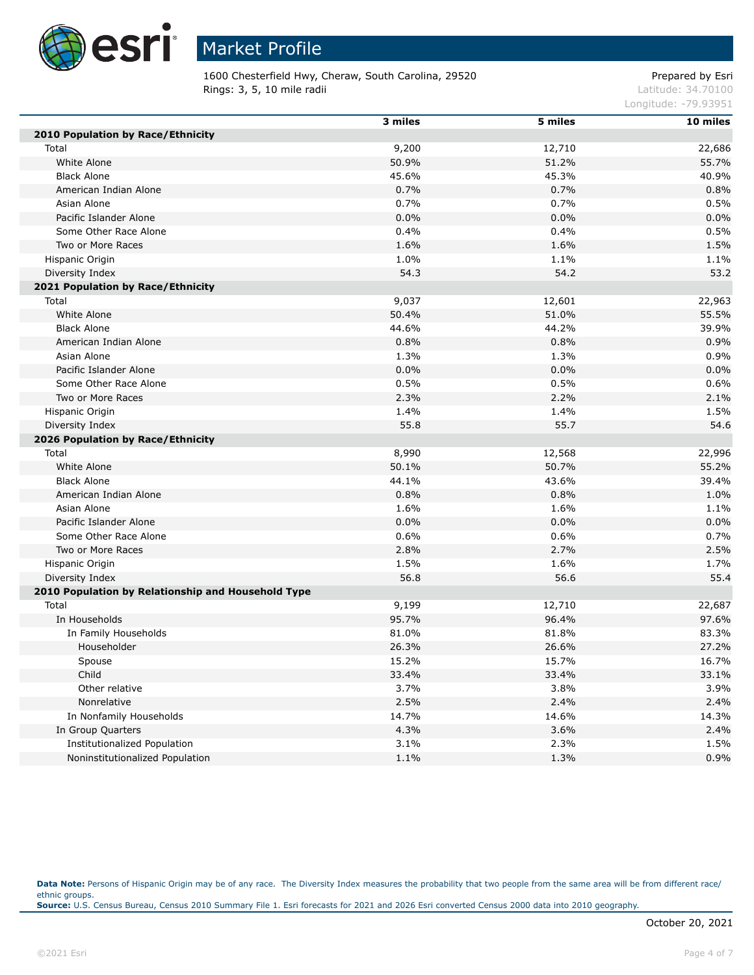

1600 Chesterfield Hwy, Cheraw, South Carolina, 29520 Prepared by Esri **Rings: 3, 5, 10 mile radii**  $\blacksquare$  **Rings: 3, 5, 10 mile radii**  $\blacksquare$ 

Longitude: -79.93951

|                                                    | 3 miles | 5 miles | 10 miles |
|----------------------------------------------------|---------|---------|----------|
| 2010 Population by Race/Ethnicity                  |         |         |          |
| Total                                              | 9,200   | 12,710  | 22,686   |
| White Alone                                        | 50.9%   | 51.2%   | 55.7%    |
| <b>Black Alone</b>                                 | 45.6%   | 45.3%   | 40.9%    |
| American Indian Alone                              | 0.7%    | 0.7%    | 0.8%     |
| Asian Alone                                        | 0.7%    | 0.7%    | 0.5%     |
| Pacific Islander Alone                             | 0.0%    | 0.0%    | 0.0%     |
| Some Other Race Alone                              | 0.4%    | 0.4%    | 0.5%     |
| Two or More Races                                  | 1.6%    | 1.6%    | 1.5%     |
| Hispanic Origin                                    | 1.0%    | 1.1%    | 1.1%     |
| Diversity Index                                    | 54.3    | 54.2    | 53.2     |
| 2021 Population by Race/Ethnicity                  |         |         |          |
| Total                                              | 9,037   | 12,601  | 22,963   |
| White Alone                                        | 50.4%   | 51.0%   | 55.5%    |
| <b>Black Alone</b>                                 | 44.6%   | 44.2%   | 39.9%    |
| American Indian Alone                              | 0.8%    | 0.8%    | 0.9%     |
| Asian Alone                                        | 1.3%    | 1.3%    | 0.9%     |
| Pacific Islander Alone                             | 0.0%    | 0.0%    | 0.0%     |
| Some Other Race Alone                              | 0.5%    | 0.5%    | 0.6%     |
| Two or More Races                                  | 2.3%    | 2.2%    | 2.1%     |
| Hispanic Origin                                    | 1.4%    | 1.4%    | 1.5%     |
| Diversity Index                                    | 55.8    | 55.7    | 54.6     |
| 2026 Population by Race/Ethnicity                  |         |         |          |
| Total                                              | 8,990   | 12,568  | 22,996   |
| White Alone                                        | 50.1%   | 50.7%   | 55.2%    |
| <b>Black Alone</b>                                 | 44.1%   | 43.6%   | 39.4%    |
| American Indian Alone                              | 0.8%    | 0.8%    | 1.0%     |
| Asian Alone                                        | 1.6%    | 1.6%    | 1.1%     |
| Pacific Islander Alone                             | 0.0%    | 0.0%    | 0.0%     |
| Some Other Race Alone                              | 0.6%    | 0.6%    | 0.7%     |
| Two or More Races                                  | 2.8%    | 2.7%    | 2.5%     |
| Hispanic Origin                                    | 1.5%    | 1.6%    | 1.7%     |
| Diversity Index                                    | 56.8    | 56.6    | 55.4     |
| 2010 Population by Relationship and Household Type |         |         |          |
| Total                                              | 9,199   | 12,710  | 22,687   |
| In Households                                      | 95.7%   | 96.4%   | 97.6%    |
| In Family Households                               | 81.0%   | 81.8%   | 83.3%    |
| Householder                                        | 26.3%   | 26.6%   | 27.2%    |
| Spouse                                             | 15.2%   | 15.7%   | 16.7%    |
| Child                                              | 33.4%   | 33.4%   | 33.1%    |
| Other relative                                     | 3.7%    | 3.8%    | 3.9%     |
| Nonrelative                                        | 2.5%    | 2.4%    | 2.4%     |
| In Nonfamily Households                            | 14.7%   | 14.6%   | 14.3%    |
| In Group Quarters                                  | 4.3%    | 3.6%    | 2.4%     |
| <b>Institutionalized Population</b>                | 3.1%    | 2.3%    | 1.5%     |
| Noninstitutionalized Population                    | 1.1%    | 1.3%    | 0.9%     |

Data Note: Persons of Hispanic Origin may be of any race. The Diversity Index measures the probability that two people from the same area will be from different race/ ethnic groups. **Source:** U.S. Census Bureau, Census 2010 Summary File 1. Esri forecasts for 2021 and 2026 Esri converted Census 2000 data into 2010 geography.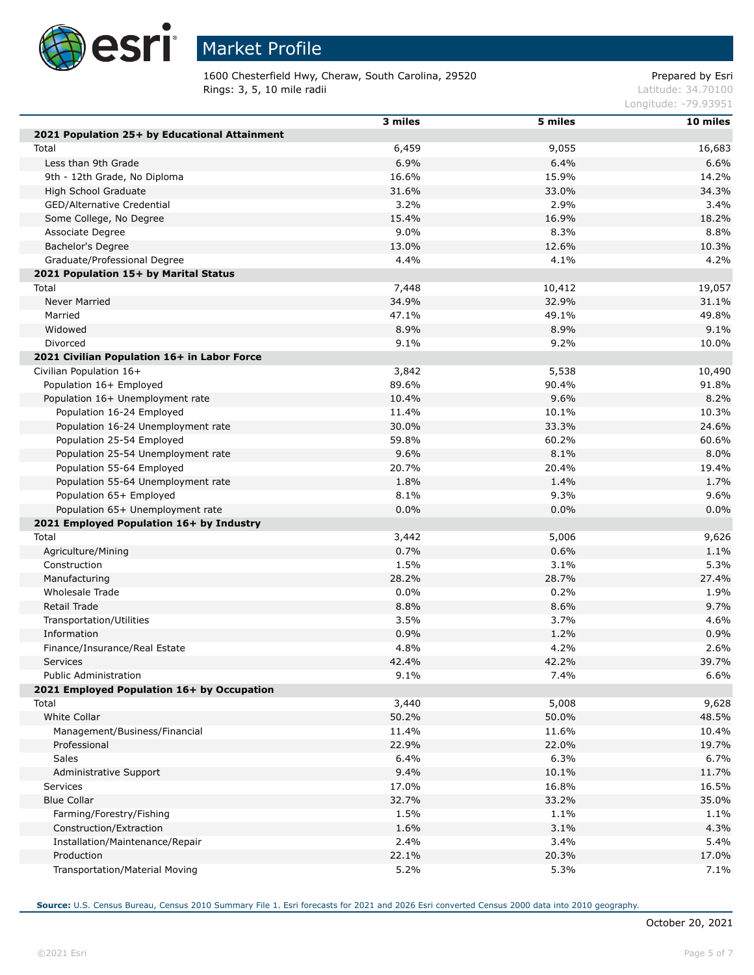

## Market Profile

1600 Chesterfield Hwy, Cheraw, South Carolina, 29520 Prepared by Esri **Rings: 3, 5, 10 mile radii**  $\blacksquare$  **Rings: 3, 5, 10 mile radii**  $\blacksquare$ 

Longitude: -79.93951

|                                               | 3 miles | 5 miles | 10 miles |
|-----------------------------------------------|---------|---------|----------|
| 2021 Population 25+ by Educational Attainment |         |         |          |
| Total                                         | 6,459   | 9,055   | 16,683   |
| Less than 9th Grade                           | 6.9%    | 6.4%    | 6.6%     |
| 9th - 12th Grade, No Diploma                  | 16.6%   | 15.9%   | 14.2%    |
| High School Graduate                          | 31.6%   | 33.0%   | 34.3%    |
| GED/Alternative Credential                    | $3.2\%$ | 2.9%    | 3.4%     |
| Some College, No Degree                       | 15.4%   | 16.9%   | 18.2%    |
| Associate Degree                              | 9.0%    | 8.3%    | 8.8%     |
| Bachelor's Degree                             | 13.0%   | 12.6%   | 10.3%    |
| Graduate/Professional Degree                  | 4.4%    | 4.1%    | 4.2%     |
| 2021 Population 15+ by Marital Status         |         |         |          |
| Total                                         | 7,448   | 10,412  | 19,057   |
| <b>Never Married</b>                          | 34.9%   | 32.9%   | 31.1%    |
| Married                                       | 47.1%   | 49.1%   | 49.8%    |
| Widowed                                       | 8.9%    | 8.9%    | 9.1%     |
| Divorced                                      | 9.1%    | 9.2%    | 10.0%    |
|                                               |         |         |          |
| 2021 Civilian Population 16+ in Labor Force   |         |         |          |
| Civilian Population 16+                       | 3,842   | 5,538   | 10,490   |
| Population 16+ Employed                       | 89.6%   | 90.4%   | 91.8%    |
| Population 16+ Unemployment rate              | 10.4%   | 9.6%    | 8.2%     |
| Population 16-24 Employed                     | 11.4%   | 10.1%   | 10.3%    |
| Population 16-24 Unemployment rate            | 30.0%   | 33.3%   | 24.6%    |
| Population 25-54 Employed                     | 59.8%   | 60.2%   | 60.6%    |
| Population 25-54 Unemployment rate            | 9.6%    | 8.1%    | 8.0%     |
| Population 55-64 Employed                     | 20.7%   | 20.4%   | 19.4%    |
| Population 55-64 Unemployment rate            | 1.8%    | 1.4%    | 1.7%     |
| Population 65+ Employed                       | 8.1%    | 9.3%    | 9.6%     |
| Population 65+ Unemployment rate              | 0.0%    | 0.0%    | 0.0%     |
| 2021 Employed Population 16+ by Industry      |         |         |          |
| Total                                         | 3,442   | 5,006   | 9,626    |
| Agriculture/Mining                            | 0.7%    | 0.6%    | 1.1%     |
| Construction                                  | 1.5%    | 3.1%    | 5.3%     |
| Manufacturing                                 | 28.2%   | 28.7%   | 27.4%    |
| Wholesale Trade                               | 0.0%    | 0.2%    | 1.9%     |
| Retail Trade                                  | 8.8%    | 8.6%    | 9.7%     |
| Transportation/Utilities                      | 3.5%    | 3.7%    | 4.6%     |
| Information                                   | 0.9%    | 1.2%    | 0.9%     |
| Finance/Insurance/Real Estate                 | 4.8%    | 4.2%    | 2.6%     |
| <b>Services</b>                               | 42.4%   | 42.2%   | 39.7%    |
| <b>Public Administration</b>                  | 9.1%    | 7.4%    | 6.6%     |
| 2021 Employed Population 16+ by Occupation    |         |         |          |
| Total                                         | 3,440   | 5,008   | 9,628    |
| White Collar                                  | 50.2%   | 50.0%   | 48.5%    |
| Management/Business/Financial                 | 11.4%   | 11.6%   | 10.4%    |
| Professional                                  | 22.9%   | 22.0%   | 19.7%    |
| Sales                                         | 6.4%    | 6.3%    | 6.7%     |
| Administrative Support                        | 9.4%    | 10.1%   | 11.7%    |
| <b>Services</b>                               | 17.0%   | 16.8%   | 16.5%    |
| <b>Blue Collar</b>                            | 32.7%   | 33.2%   | 35.0%    |
| Farming/Forestry/Fishing                      | 1.5%    | 1.1%    | 1.1%     |
| Construction/Extraction                       | 1.6%    | 3.1%    | 4.3%     |
| Installation/Maintenance/Repair               | 2.4%    | 3.4%    | 5.4%     |
| Production                                    | 22.1%   | 20.3%   | 17.0%    |
|                                               |         |         |          |
| Transportation/Material Moving                | 5.2%    | 5.3%    | 7.1%     |

**Source:** U.S. Census Bureau, Census 2010 Summary File 1. Esri forecasts for 2021 and 2026 Esri converted Census 2000 data into 2010 geography.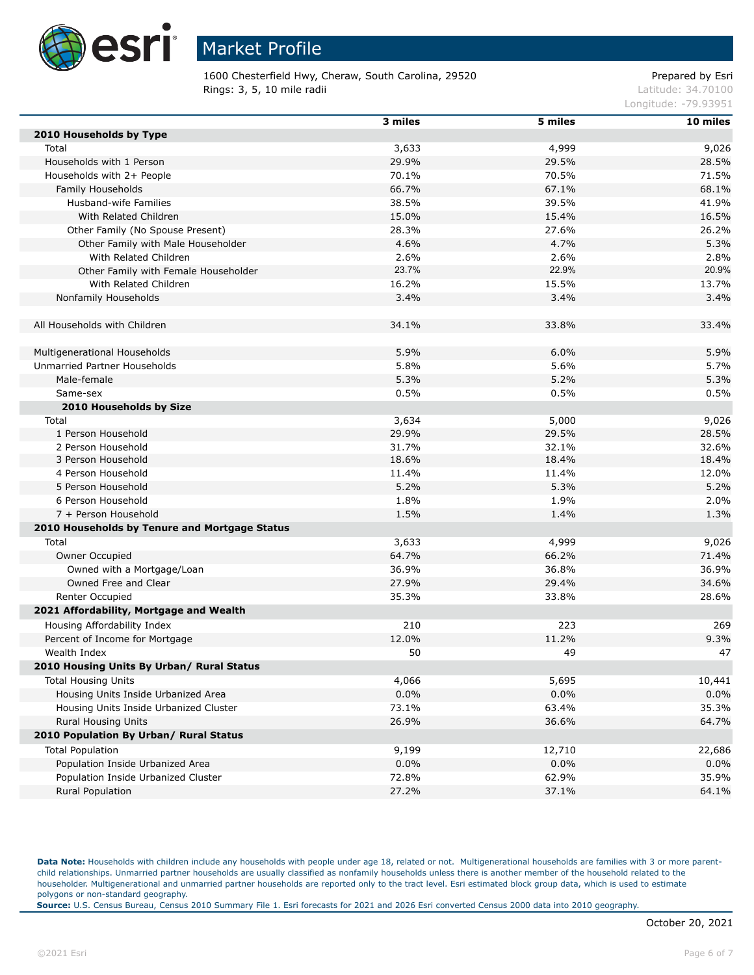

1600 Chesterfield Hwy, Cheraw, South Carolina, 29520 Prepared by Esri **Rings: 3, 5, 10 mile radii**  $\blacksquare$  **Rings: 3, 5, 10 mile radii**  $\blacksquare$ 

Longitude: -79.93951

| 2010 Households by Type<br>4,999<br>Total<br>3,633<br>9,026<br>29.9%<br>29.5%<br>28.5%<br>Households with 1 Person<br>70.5%<br>Households with 2+ People<br>70.1%<br>71.5%<br>66.7%<br>67.1%<br>68.1%<br>Family Households<br>38.5%<br>39.5%<br>Husband-wife Families<br>41.9%<br>With Related Children<br>15.0%<br>15.4%<br>16.5%<br>Other Family (No Spouse Present)<br>28.3%<br>27.6%<br>26.2%<br>4.6%<br>4.7%<br>5.3%<br>Other Family with Male Householder<br>With Related Children<br>2.6%<br>2.6%<br>2.8%<br>23.7%<br>22.9%<br>20.9%<br>Other Family with Female Householder<br>16.2%<br>15.5%<br>13.7%<br>With Related Children<br>Nonfamily Households<br>3.4%<br>3.4%<br>3.4%<br>All Households with Children<br>34.1%<br>33.4%<br>33.8%<br>5.9%<br>6.0%<br>5.9%<br>Multigenerational Households<br>Unmarried Partner Households<br>5.8%<br>5.6%<br>5.7%<br>5.3%<br>5.2%<br>5.3%<br>Male-female<br>0.5%<br>0.5%<br>0.5%<br>Same-sex<br>2010 Households by Size<br>3,634<br>5,000<br>Total<br>9,026<br>29.9%<br>29.5%<br>28.5%<br>1 Person Household<br>31.7%<br>2 Person Household<br>32.1%<br>32.6%<br>18.6%<br>18.4%<br>3 Person Household<br>18.4%<br>4 Person Household<br>11.4%<br>11.4%<br>12.0%<br>5.2%<br>5.3%<br>5.2%<br>5 Person Household<br>1.8%<br>2.0%<br>6 Person Household<br>1.9%<br>1.5%<br>7 + Person Household<br>1.4%<br>1.3%<br>2010 Households by Tenure and Mortgage Status<br>Total<br>3,633<br>4,999<br>9,026<br>64.7%<br>66.2%<br>Owner Occupied<br>71.4%<br>Owned with a Mortgage/Loan<br>36.9%<br>36.8%<br>36.9%<br>Owned Free and Clear<br>27.9%<br>29.4%<br>34.6%<br>35.3%<br>Renter Occupied<br>33.8%<br>28.6%<br>2021 Affordability, Mortgage and Wealth<br>210<br>223<br>269<br>Housing Affordability Index<br>12.0%<br>11.2%<br>9.3%<br>Percent of Income for Mortgage<br>Wealth Index<br>50<br>49<br>47<br>2010 Housing Units By Urban/ Rural Status<br>4,066<br>5,695<br>10,441<br><b>Total Housing Units</b><br>0.0%<br>0.0%<br>0.0%<br>Housing Units Inside Urbanized Area<br>Housing Units Inside Urbanized Cluster<br>63.4%<br>35.3%<br>73.1%<br>26.9%<br><b>Rural Housing Units</b><br>36.6%<br>64.7%<br>2010 Population By Urban/ Rural Status<br><b>Total Population</b><br>9,199<br>12,710<br>22,686<br>Population Inside Urbanized Area<br>$0.0\%$<br>0.0%<br>0.0%<br>72.8%<br>62.9%<br>35.9%<br>Population Inside Urbanized Cluster<br><b>Rural Population</b><br>27.2%<br>37.1%<br>64.1% | 3 miles | 5 miles | 10 miles |
|----------------------------------------------------------------------------------------------------------------------------------------------------------------------------------------------------------------------------------------------------------------------------------------------------------------------------------------------------------------------------------------------------------------------------------------------------------------------------------------------------------------------------------------------------------------------------------------------------------------------------------------------------------------------------------------------------------------------------------------------------------------------------------------------------------------------------------------------------------------------------------------------------------------------------------------------------------------------------------------------------------------------------------------------------------------------------------------------------------------------------------------------------------------------------------------------------------------------------------------------------------------------------------------------------------------------------------------------------------------------------------------------------------------------------------------------------------------------------------------------------------------------------------------------------------------------------------------------------------------------------------------------------------------------------------------------------------------------------------------------------------------------------------------------------------------------------------------------------------------------------------------------------------------------------------------------------------------------------------------------------------------------------------------------------------------------------------------------------------------------------------------------------------------------------------------------------------------------------------------------------------------------------------------------------------------------------------------------------------------------------------------------------------------------------------------------------|---------|---------|----------|
|                                                                                                                                                                                                                                                                                                                                                                                                                                                                                                                                                                                                                                                                                                                                                                                                                                                                                                                                                                                                                                                                                                                                                                                                                                                                                                                                                                                                                                                                                                                                                                                                                                                                                                                                                                                                                                                                                                                                                                                                                                                                                                                                                                                                                                                                                                                                                                                                                                                    |         |         |          |
|                                                                                                                                                                                                                                                                                                                                                                                                                                                                                                                                                                                                                                                                                                                                                                                                                                                                                                                                                                                                                                                                                                                                                                                                                                                                                                                                                                                                                                                                                                                                                                                                                                                                                                                                                                                                                                                                                                                                                                                                                                                                                                                                                                                                                                                                                                                                                                                                                                                    |         |         |          |
|                                                                                                                                                                                                                                                                                                                                                                                                                                                                                                                                                                                                                                                                                                                                                                                                                                                                                                                                                                                                                                                                                                                                                                                                                                                                                                                                                                                                                                                                                                                                                                                                                                                                                                                                                                                                                                                                                                                                                                                                                                                                                                                                                                                                                                                                                                                                                                                                                                                    |         |         |          |
|                                                                                                                                                                                                                                                                                                                                                                                                                                                                                                                                                                                                                                                                                                                                                                                                                                                                                                                                                                                                                                                                                                                                                                                                                                                                                                                                                                                                                                                                                                                                                                                                                                                                                                                                                                                                                                                                                                                                                                                                                                                                                                                                                                                                                                                                                                                                                                                                                                                    |         |         |          |
|                                                                                                                                                                                                                                                                                                                                                                                                                                                                                                                                                                                                                                                                                                                                                                                                                                                                                                                                                                                                                                                                                                                                                                                                                                                                                                                                                                                                                                                                                                                                                                                                                                                                                                                                                                                                                                                                                                                                                                                                                                                                                                                                                                                                                                                                                                                                                                                                                                                    |         |         |          |
|                                                                                                                                                                                                                                                                                                                                                                                                                                                                                                                                                                                                                                                                                                                                                                                                                                                                                                                                                                                                                                                                                                                                                                                                                                                                                                                                                                                                                                                                                                                                                                                                                                                                                                                                                                                                                                                                                                                                                                                                                                                                                                                                                                                                                                                                                                                                                                                                                                                    |         |         |          |
|                                                                                                                                                                                                                                                                                                                                                                                                                                                                                                                                                                                                                                                                                                                                                                                                                                                                                                                                                                                                                                                                                                                                                                                                                                                                                                                                                                                                                                                                                                                                                                                                                                                                                                                                                                                                                                                                                                                                                                                                                                                                                                                                                                                                                                                                                                                                                                                                                                                    |         |         |          |
|                                                                                                                                                                                                                                                                                                                                                                                                                                                                                                                                                                                                                                                                                                                                                                                                                                                                                                                                                                                                                                                                                                                                                                                                                                                                                                                                                                                                                                                                                                                                                                                                                                                                                                                                                                                                                                                                                                                                                                                                                                                                                                                                                                                                                                                                                                                                                                                                                                                    |         |         |          |
|                                                                                                                                                                                                                                                                                                                                                                                                                                                                                                                                                                                                                                                                                                                                                                                                                                                                                                                                                                                                                                                                                                                                                                                                                                                                                                                                                                                                                                                                                                                                                                                                                                                                                                                                                                                                                                                                                                                                                                                                                                                                                                                                                                                                                                                                                                                                                                                                                                                    |         |         |          |
|                                                                                                                                                                                                                                                                                                                                                                                                                                                                                                                                                                                                                                                                                                                                                                                                                                                                                                                                                                                                                                                                                                                                                                                                                                                                                                                                                                                                                                                                                                                                                                                                                                                                                                                                                                                                                                                                                                                                                                                                                                                                                                                                                                                                                                                                                                                                                                                                                                                    |         |         |          |
|                                                                                                                                                                                                                                                                                                                                                                                                                                                                                                                                                                                                                                                                                                                                                                                                                                                                                                                                                                                                                                                                                                                                                                                                                                                                                                                                                                                                                                                                                                                                                                                                                                                                                                                                                                                                                                                                                                                                                                                                                                                                                                                                                                                                                                                                                                                                                                                                                                                    |         |         |          |
|                                                                                                                                                                                                                                                                                                                                                                                                                                                                                                                                                                                                                                                                                                                                                                                                                                                                                                                                                                                                                                                                                                                                                                                                                                                                                                                                                                                                                                                                                                                                                                                                                                                                                                                                                                                                                                                                                                                                                                                                                                                                                                                                                                                                                                                                                                                                                                                                                                                    |         |         |          |
|                                                                                                                                                                                                                                                                                                                                                                                                                                                                                                                                                                                                                                                                                                                                                                                                                                                                                                                                                                                                                                                                                                                                                                                                                                                                                                                                                                                                                                                                                                                                                                                                                                                                                                                                                                                                                                                                                                                                                                                                                                                                                                                                                                                                                                                                                                                                                                                                                                                    |         |         |          |
|                                                                                                                                                                                                                                                                                                                                                                                                                                                                                                                                                                                                                                                                                                                                                                                                                                                                                                                                                                                                                                                                                                                                                                                                                                                                                                                                                                                                                                                                                                                                                                                                                                                                                                                                                                                                                                                                                                                                                                                                                                                                                                                                                                                                                                                                                                                                                                                                                                                    |         |         |          |
|                                                                                                                                                                                                                                                                                                                                                                                                                                                                                                                                                                                                                                                                                                                                                                                                                                                                                                                                                                                                                                                                                                                                                                                                                                                                                                                                                                                                                                                                                                                                                                                                                                                                                                                                                                                                                                                                                                                                                                                                                                                                                                                                                                                                                                                                                                                                                                                                                                                    |         |         |          |
|                                                                                                                                                                                                                                                                                                                                                                                                                                                                                                                                                                                                                                                                                                                                                                                                                                                                                                                                                                                                                                                                                                                                                                                                                                                                                                                                                                                                                                                                                                                                                                                                                                                                                                                                                                                                                                                                                                                                                                                                                                                                                                                                                                                                                                                                                                                                                                                                                                                    |         |         |          |
|                                                                                                                                                                                                                                                                                                                                                                                                                                                                                                                                                                                                                                                                                                                                                                                                                                                                                                                                                                                                                                                                                                                                                                                                                                                                                                                                                                                                                                                                                                                                                                                                                                                                                                                                                                                                                                                                                                                                                                                                                                                                                                                                                                                                                                                                                                                                                                                                                                                    |         |         |          |
|                                                                                                                                                                                                                                                                                                                                                                                                                                                                                                                                                                                                                                                                                                                                                                                                                                                                                                                                                                                                                                                                                                                                                                                                                                                                                                                                                                                                                                                                                                                                                                                                                                                                                                                                                                                                                                                                                                                                                                                                                                                                                                                                                                                                                                                                                                                                                                                                                                                    |         |         |          |
|                                                                                                                                                                                                                                                                                                                                                                                                                                                                                                                                                                                                                                                                                                                                                                                                                                                                                                                                                                                                                                                                                                                                                                                                                                                                                                                                                                                                                                                                                                                                                                                                                                                                                                                                                                                                                                                                                                                                                                                                                                                                                                                                                                                                                                                                                                                                                                                                                                                    |         |         |          |
|                                                                                                                                                                                                                                                                                                                                                                                                                                                                                                                                                                                                                                                                                                                                                                                                                                                                                                                                                                                                                                                                                                                                                                                                                                                                                                                                                                                                                                                                                                                                                                                                                                                                                                                                                                                                                                                                                                                                                                                                                                                                                                                                                                                                                                                                                                                                                                                                                                                    |         |         |          |
|                                                                                                                                                                                                                                                                                                                                                                                                                                                                                                                                                                                                                                                                                                                                                                                                                                                                                                                                                                                                                                                                                                                                                                                                                                                                                                                                                                                                                                                                                                                                                                                                                                                                                                                                                                                                                                                                                                                                                                                                                                                                                                                                                                                                                                                                                                                                                                                                                                                    |         |         |          |
|                                                                                                                                                                                                                                                                                                                                                                                                                                                                                                                                                                                                                                                                                                                                                                                                                                                                                                                                                                                                                                                                                                                                                                                                                                                                                                                                                                                                                                                                                                                                                                                                                                                                                                                                                                                                                                                                                                                                                                                                                                                                                                                                                                                                                                                                                                                                                                                                                                                    |         |         |          |
|                                                                                                                                                                                                                                                                                                                                                                                                                                                                                                                                                                                                                                                                                                                                                                                                                                                                                                                                                                                                                                                                                                                                                                                                                                                                                                                                                                                                                                                                                                                                                                                                                                                                                                                                                                                                                                                                                                                                                                                                                                                                                                                                                                                                                                                                                                                                                                                                                                                    |         |         |          |
|                                                                                                                                                                                                                                                                                                                                                                                                                                                                                                                                                                                                                                                                                                                                                                                                                                                                                                                                                                                                                                                                                                                                                                                                                                                                                                                                                                                                                                                                                                                                                                                                                                                                                                                                                                                                                                                                                                                                                                                                                                                                                                                                                                                                                                                                                                                                                                                                                                                    |         |         |          |
|                                                                                                                                                                                                                                                                                                                                                                                                                                                                                                                                                                                                                                                                                                                                                                                                                                                                                                                                                                                                                                                                                                                                                                                                                                                                                                                                                                                                                                                                                                                                                                                                                                                                                                                                                                                                                                                                                                                                                                                                                                                                                                                                                                                                                                                                                                                                                                                                                                                    |         |         |          |
|                                                                                                                                                                                                                                                                                                                                                                                                                                                                                                                                                                                                                                                                                                                                                                                                                                                                                                                                                                                                                                                                                                                                                                                                                                                                                                                                                                                                                                                                                                                                                                                                                                                                                                                                                                                                                                                                                                                                                                                                                                                                                                                                                                                                                                                                                                                                                                                                                                                    |         |         |          |
|                                                                                                                                                                                                                                                                                                                                                                                                                                                                                                                                                                                                                                                                                                                                                                                                                                                                                                                                                                                                                                                                                                                                                                                                                                                                                                                                                                                                                                                                                                                                                                                                                                                                                                                                                                                                                                                                                                                                                                                                                                                                                                                                                                                                                                                                                                                                                                                                                                                    |         |         |          |
|                                                                                                                                                                                                                                                                                                                                                                                                                                                                                                                                                                                                                                                                                                                                                                                                                                                                                                                                                                                                                                                                                                                                                                                                                                                                                                                                                                                                                                                                                                                                                                                                                                                                                                                                                                                                                                                                                                                                                                                                                                                                                                                                                                                                                                                                                                                                                                                                                                                    |         |         |          |
|                                                                                                                                                                                                                                                                                                                                                                                                                                                                                                                                                                                                                                                                                                                                                                                                                                                                                                                                                                                                                                                                                                                                                                                                                                                                                                                                                                                                                                                                                                                                                                                                                                                                                                                                                                                                                                                                                                                                                                                                                                                                                                                                                                                                                                                                                                                                                                                                                                                    |         |         |          |
|                                                                                                                                                                                                                                                                                                                                                                                                                                                                                                                                                                                                                                                                                                                                                                                                                                                                                                                                                                                                                                                                                                                                                                                                                                                                                                                                                                                                                                                                                                                                                                                                                                                                                                                                                                                                                                                                                                                                                                                                                                                                                                                                                                                                                                                                                                                                                                                                                                                    |         |         |          |
|                                                                                                                                                                                                                                                                                                                                                                                                                                                                                                                                                                                                                                                                                                                                                                                                                                                                                                                                                                                                                                                                                                                                                                                                                                                                                                                                                                                                                                                                                                                                                                                                                                                                                                                                                                                                                                                                                                                                                                                                                                                                                                                                                                                                                                                                                                                                                                                                                                                    |         |         |          |
|                                                                                                                                                                                                                                                                                                                                                                                                                                                                                                                                                                                                                                                                                                                                                                                                                                                                                                                                                                                                                                                                                                                                                                                                                                                                                                                                                                                                                                                                                                                                                                                                                                                                                                                                                                                                                                                                                                                                                                                                                                                                                                                                                                                                                                                                                                                                                                                                                                                    |         |         |          |
|                                                                                                                                                                                                                                                                                                                                                                                                                                                                                                                                                                                                                                                                                                                                                                                                                                                                                                                                                                                                                                                                                                                                                                                                                                                                                                                                                                                                                                                                                                                                                                                                                                                                                                                                                                                                                                                                                                                                                                                                                                                                                                                                                                                                                                                                                                                                                                                                                                                    |         |         |          |
|                                                                                                                                                                                                                                                                                                                                                                                                                                                                                                                                                                                                                                                                                                                                                                                                                                                                                                                                                                                                                                                                                                                                                                                                                                                                                                                                                                                                                                                                                                                                                                                                                                                                                                                                                                                                                                                                                                                                                                                                                                                                                                                                                                                                                                                                                                                                                                                                                                                    |         |         |          |
|                                                                                                                                                                                                                                                                                                                                                                                                                                                                                                                                                                                                                                                                                                                                                                                                                                                                                                                                                                                                                                                                                                                                                                                                                                                                                                                                                                                                                                                                                                                                                                                                                                                                                                                                                                                                                                                                                                                                                                                                                                                                                                                                                                                                                                                                                                                                                                                                                                                    |         |         |          |
|                                                                                                                                                                                                                                                                                                                                                                                                                                                                                                                                                                                                                                                                                                                                                                                                                                                                                                                                                                                                                                                                                                                                                                                                                                                                                                                                                                                                                                                                                                                                                                                                                                                                                                                                                                                                                                                                                                                                                                                                                                                                                                                                                                                                                                                                                                                                                                                                                                                    |         |         |          |
|                                                                                                                                                                                                                                                                                                                                                                                                                                                                                                                                                                                                                                                                                                                                                                                                                                                                                                                                                                                                                                                                                                                                                                                                                                                                                                                                                                                                                                                                                                                                                                                                                                                                                                                                                                                                                                                                                                                                                                                                                                                                                                                                                                                                                                                                                                                                                                                                                                                    |         |         |          |
|                                                                                                                                                                                                                                                                                                                                                                                                                                                                                                                                                                                                                                                                                                                                                                                                                                                                                                                                                                                                                                                                                                                                                                                                                                                                                                                                                                                                                                                                                                                                                                                                                                                                                                                                                                                                                                                                                                                                                                                                                                                                                                                                                                                                                                                                                                                                                                                                                                                    |         |         |          |
|                                                                                                                                                                                                                                                                                                                                                                                                                                                                                                                                                                                                                                                                                                                                                                                                                                                                                                                                                                                                                                                                                                                                                                                                                                                                                                                                                                                                                                                                                                                                                                                                                                                                                                                                                                                                                                                                                                                                                                                                                                                                                                                                                                                                                                                                                                                                                                                                                                                    |         |         |          |
|                                                                                                                                                                                                                                                                                                                                                                                                                                                                                                                                                                                                                                                                                                                                                                                                                                                                                                                                                                                                                                                                                                                                                                                                                                                                                                                                                                                                                                                                                                                                                                                                                                                                                                                                                                                                                                                                                                                                                                                                                                                                                                                                                                                                                                                                                                                                                                                                                                                    |         |         |          |
|                                                                                                                                                                                                                                                                                                                                                                                                                                                                                                                                                                                                                                                                                                                                                                                                                                                                                                                                                                                                                                                                                                                                                                                                                                                                                                                                                                                                                                                                                                                                                                                                                                                                                                                                                                                                                                                                                                                                                                                                                                                                                                                                                                                                                                                                                                                                                                                                                                                    |         |         |          |
|                                                                                                                                                                                                                                                                                                                                                                                                                                                                                                                                                                                                                                                                                                                                                                                                                                                                                                                                                                                                                                                                                                                                                                                                                                                                                                                                                                                                                                                                                                                                                                                                                                                                                                                                                                                                                                                                                                                                                                                                                                                                                                                                                                                                                                                                                                                                                                                                                                                    |         |         |          |
|                                                                                                                                                                                                                                                                                                                                                                                                                                                                                                                                                                                                                                                                                                                                                                                                                                                                                                                                                                                                                                                                                                                                                                                                                                                                                                                                                                                                                                                                                                                                                                                                                                                                                                                                                                                                                                                                                                                                                                                                                                                                                                                                                                                                                                                                                                                                                                                                                                                    |         |         |          |
|                                                                                                                                                                                                                                                                                                                                                                                                                                                                                                                                                                                                                                                                                                                                                                                                                                                                                                                                                                                                                                                                                                                                                                                                                                                                                                                                                                                                                                                                                                                                                                                                                                                                                                                                                                                                                                                                                                                                                                                                                                                                                                                                                                                                                                                                                                                                                                                                                                                    |         |         |          |
|                                                                                                                                                                                                                                                                                                                                                                                                                                                                                                                                                                                                                                                                                                                                                                                                                                                                                                                                                                                                                                                                                                                                                                                                                                                                                                                                                                                                                                                                                                                                                                                                                                                                                                                                                                                                                                                                                                                                                                                                                                                                                                                                                                                                                                                                                                                                                                                                                                                    |         |         |          |
|                                                                                                                                                                                                                                                                                                                                                                                                                                                                                                                                                                                                                                                                                                                                                                                                                                                                                                                                                                                                                                                                                                                                                                                                                                                                                                                                                                                                                                                                                                                                                                                                                                                                                                                                                                                                                                                                                                                                                                                                                                                                                                                                                                                                                                                                                                                                                                                                                                                    |         |         |          |
|                                                                                                                                                                                                                                                                                                                                                                                                                                                                                                                                                                                                                                                                                                                                                                                                                                                                                                                                                                                                                                                                                                                                                                                                                                                                                                                                                                                                                                                                                                                                                                                                                                                                                                                                                                                                                                                                                                                                                                                                                                                                                                                                                                                                                                                                                                                                                                                                                                                    |         |         |          |
|                                                                                                                                                                                                                                                                                                                                                                                                                                                                                                                                                                                                                                                                                                                                                                                                                                                                                                                                                                                                                                                                                                                                                                                                                                                                                                                                                                                                                                                                                                                                                                                                                                                                                                                                                                                                                                                                                                                                                                                                                                                                                                                                                                                                                                                                                                                                                                                                                                                    |         |         |          |
|                                                                                                                                                                                                                                                                                                                                                                                                                                                                                                                                                                                                                                                                                                                                                                                                                                                                                                                                                                                                                                                                                                                                                                                                                                                                                                                                                                                                                                                                                                                                                                                                                                                                                                                                                                                                                                                                                                                                                                                                                                                                                                                                                                                                                                                                                                                                                                                                                                                    |         |         |          |

Data Note: Households with children include any households with people under age 18, related or not. Multigenerational households are families with 3 or more parentchild relationships. Unmarried partner households are usually classified as nonfamily households unless there is another member of the household related to the householder. Multigenerational and unmarried partner households are reported only to the tract level. Esri estimated block group data, which is used to estimate polygons or non-standard geography.

**Source:** U.S. Census Bureau, Census 2010 Summary File 1. Esri forecasts for 2021 and 2026 Esri converted Census 2000 data into 2010 geography.